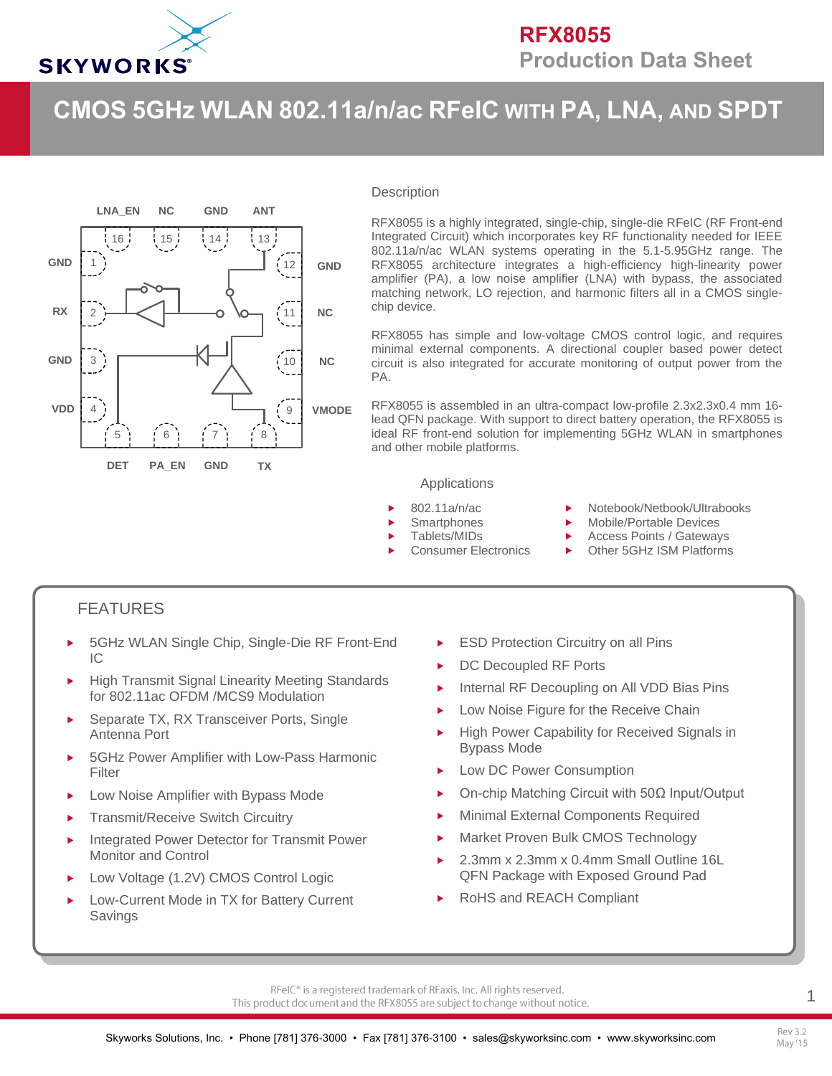

# **CMOS 5GHz WLAN 802.11a/n/ac RFeIC WITH PA, LNA, AND SPDT**



#### **Description**

RFX8055 is a highly integrated, single-chip, single-die RFeIC (RF Front-end Integrated Circuit) which incorporates key RF functionality needed for IEEE 802.11a/n/ac WLAN systems operating in the 5.1-5.95GHz range. The RFX8055 architecture integrates a high-efficiency high-linearity power amplifier (PA), a low noise amplifier (LNA) with bypass, the associated matching network, LO rejection, and harmonic filters all in a CMOS singlechip device.

RFX8055 has simple and low-voltage CMOS control logic, and requires minimal external components. A directional coupler based power detect circuit is also integrated for accurate monitoring of output power from the PA.

RFX8055 is assembled in an ultra-compact low-profile 2.3x2.3x0.4 mm 16 lead QFN package. With support to direct battery operation, the RFX8055 is ideal RF front-end solution for implementing 5GHz WLAN in smartphones and other mobile platforms.

#### Applications

- 802.11a/n/ac
- **Smartphones**
- Tablets/MIDs
- Consumer Electronics
- ▶ Notebook/Netbook/Ultrabooks
- Mobile/Portable Devices
- Access Points / Gateways
- ▶ Other 5GHz ISM Platforms

### FEATURES

- 5GHz WLAN Single Chip, Single-Die RF Front-End  $IC$
- High Transmit Signal Linearity Meeting Standards for 802.11ac OFDM /MCS9 Modulation
- Separate TX, RX Transceiver Ports, Single Antenna Port
- 5GHz Power Amplifier with Low-Pass Harmonic Filter
- Low Noise Amplifier with Bypass Mode
- Transmit/Receive Switch Circuitry
- Integrated Power Detector for Transmit Power Monitor and Control
- Low Voltage (1.2V) CMOS Control Logic
- Low-Current Mode in TX for Battery Current Savings
- ESD Protection Circuitry on all Pins
- DC Decoupled RF Ports
- Internal RF Decoupling on All VDD Bias Pins
- **Low Noise Figure for the Receive Chain**
- High Power Capability for Received Signals in Bypass Mode
- Low DC Power Consumption
- On-chip Matching Circuit with 50Ω Input/Output
- Minimal External Components Required
- Market Proven Bulk CMOS Technology
- 2.3mm x 2.3mm x 0.4mm Small Outline 16L QFN Package with Exposed Ground Pad
- RoHS and REACH Compliant

1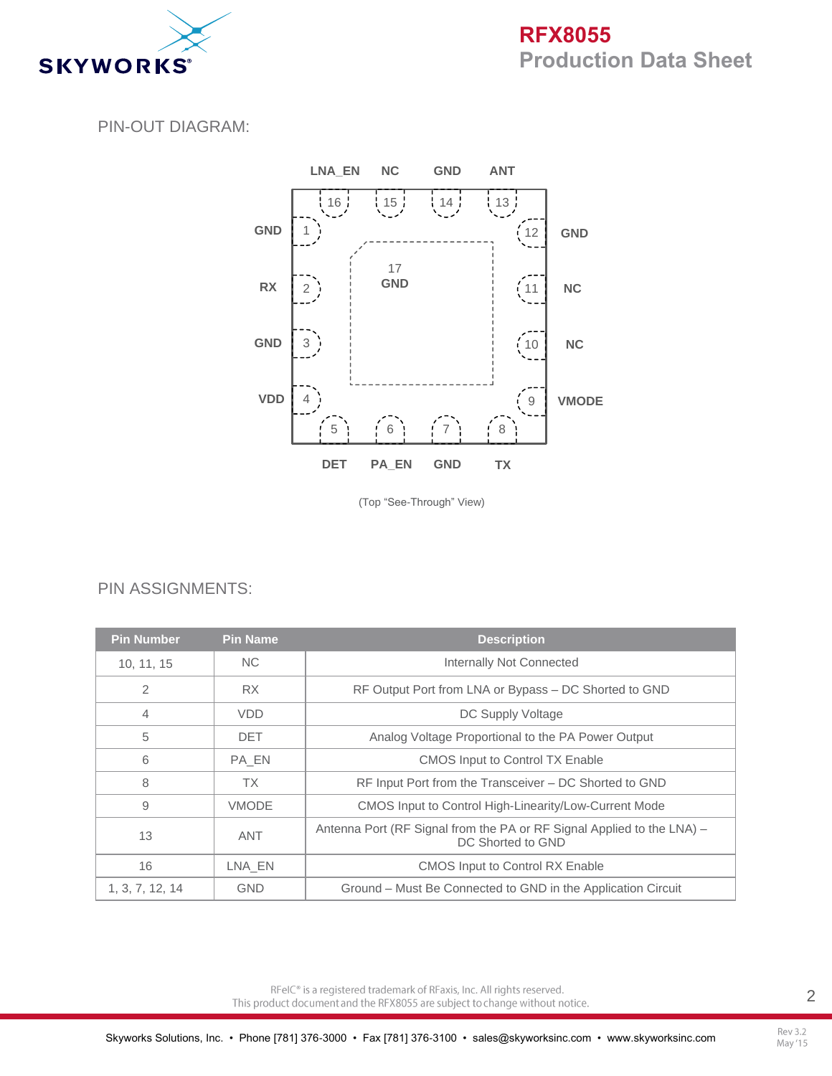

# **RFX8055 Production Data Sheet**

#### PIN-OUT DIAGRAM:



(Top "See-Through" View)

### PIN ASSIGNMENTS:

| <b>Pin Number</b> | <b>Pin Name</b> | <b>Description</b>                                                                          |
|-------------------|-----------------|---------------------------------------------------------------------------------------------|
| 10, 11, 15        | <b>NC</b>       | Internally Not Connected                                                                    |
| 2                 | <b>RX</b>       | RF Output Port from LNA or Bypass – DC Shorted to GND                                       |
| 4                 | <b>VDD</b>      | DC Supply Voltage                                                                           |
| 5                 | <b>DET</b>      | Analog Voltage Proportional to the PA Power Output                                          |
| 6                 | PA EN           | <b>CMOS Input to Control TX Enable</b>                                                      |
| 8                 | ТX              | RF Input Port from the Transceiver – DC Shorted to GND                                      |
| 9                 | <b>VMODE</b>    | CMOS Input to Control High-Linearity/Low-Current Mode                                       |
| 13                | ANT             | Antenna Port (RF Signal from the PA or RF Signal Applied to the LNA) -<br>DC Shorted to GND |
| 16                | LNA EN          | <b>CMOS Input to Control RX Enable</b>                                                      |
| 1, 3, 7, 12, 14   | <b>GND</b>      | Ground – Must Be Connected to GND in the Application Circuit                                |

RFeIC<sup>®</sup> is a registered trademark of RFaxis, Inc. All rights reserved. This product document and the RFX8055 are subject to change without notice.

Rev 3.2 May '15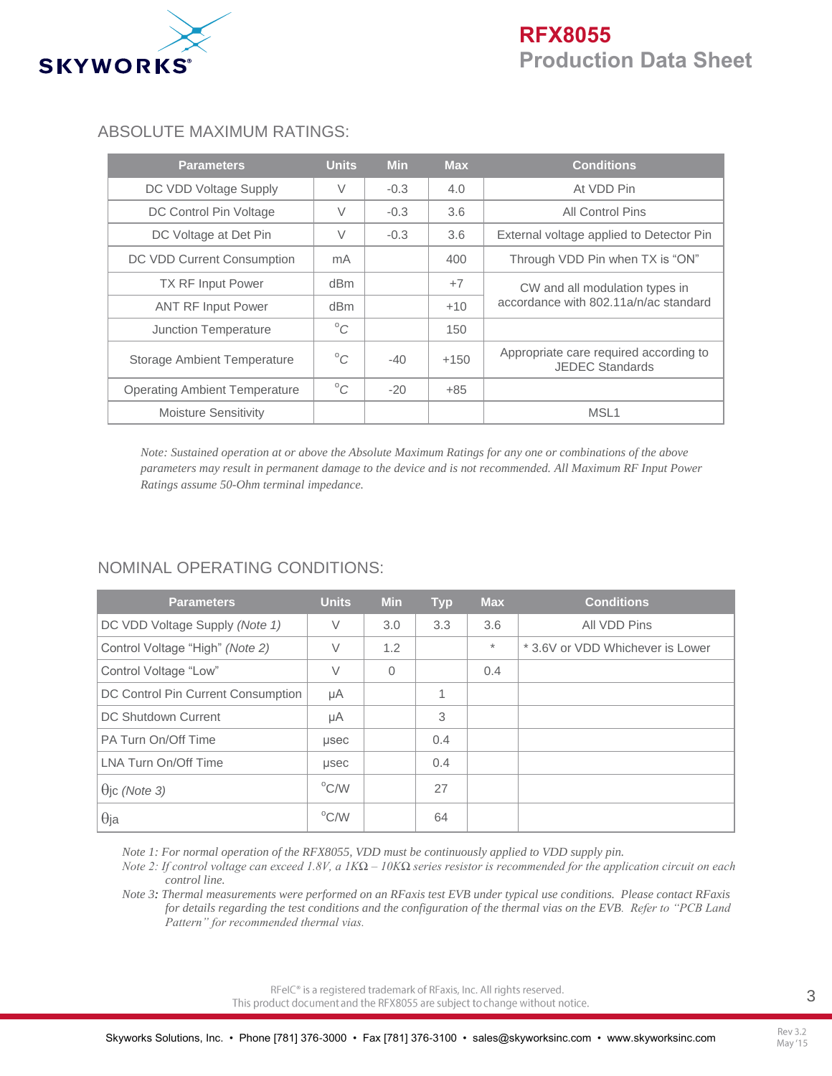

#### ABSOLUTE MAXIMUM RATINGS:

| <b>Parameters</b>                    | <b>Units</b> | <b>Min</b> | <b>Max</b> | <b>Conditions</b>                                                |
|--------------------------------------|--------------|------------|------------|------------------------------------------------------------------|
| DC VDD Voltage Supply                | $\vee$       | $-0.3$     | 4.0        | At VDD Pin                                                       |
| DC Control Pin Voltage               | $\vee$       | $-0.3$     | 3.6        | All Control Pins                                                 |
| DC Voltage at Det Pin                | $\vee$       | $-0.3$     | 3.6        | External voltage applied to Detector Pin                         |
| DC VDD Current Consumption           | mA           |            | 400        | Through VDD Pin when TX is "ON"                                  |
| <b>TX RF Input Power</b>             | dBm          |            | $+7$       | CW and all modulation types in                                   |
| <b>ANT RF Input Power</b>            | dBm          |            | $+10$      | accordance with 802.11a/n/ac standard                            |
| Junction Temperature                 | $^{\circ}C$  |            | 150        |                                                                  |
| <b>Storage Ambient Temperature</b>   | $^{\circ}C$  | $-40$      | $+150$     | Appropriate care required according to<br><b>JEDEC Standards</b> |
| <b>Operating Ambient Temperature</b> | $^{\circ}C$  | $-20$      | $+85$      |                                                                  |
| <b>Moisture Sensitivity</b>          |              |            |            | MSL <sub>1</sub>                                                 |

*Note: Sustained operation at or above the Absolute Maximum Ratings for any one or combinations of the above parameters may result in permanent damage to the device and is not recommended. All Maximum RF Input Power Ratings assume 50-Ohm terminal impedance.*

### NOMINAL OPERATING CONDITIONS:

| <b>Parameters</b>                         | <b>Units</b>   | <b>Min</b> | <b>Typ</b> | <b>Max</b> | <b>Conditions</b>                |
|-------------------------------------------|----------------|------------|------------|------------|----------------------------------|
| DC VDD Voltage Supply (Note 1)            | $\vee$         | 3.0        | 3.3        | 3.6        | All VDD Pins                     |
| Control Voltage "High" (Note 2)           | $\vee$         | 1.2        |            | $\star$    | * 3.6V or VDD Whichever is Lower |
| Control Voltage "Low"                     | $\vee$         | $\Omega$   |            | 0.4        |                                  |
| <b>DC Control Pin Current Consumption</b> | μA             |            | 1          |            |                                  |
| DC Shutdown Current                       | μA             |            | 3          |            |                                  |
| PA Turn On/Off Time                       | usec           |            | 0.4        |            |                                  |
| LNA Turn On/Off Time                      | usec           |            | 0.4        |            |                                  |
| $\Theta$ jc (Note 3)                      | $\rm ^{o}$ C/W |            | 27         |            |                                  |
| $\theta$ ja                               | $^{\circ}$ C/W |            | 64         |            |                                  |

*Note 1: For normal operation of the RFX8055, VDD must be continuously applied to VDD supply pin.*

*Note 2: If control voltage can exceed 1.8V, a 1KΩ – 10KΩ series resistor is recommended for the application circuit on each control line.*

*Note 3: Thermal measurements were performed on an RFaxis test EVB under typical use conditions. Please contact RFaxis for details regarding the test conditions and the configuration of the thermal vias on the EVB. Refer to "PCB Land Pattern" for recommended thermal vias.*

> RFeIC<sup>®</sup> is a registered trademark of RFaxis, Inc. All rights reserved. This product document and the RFX8055 are subject to change without notice.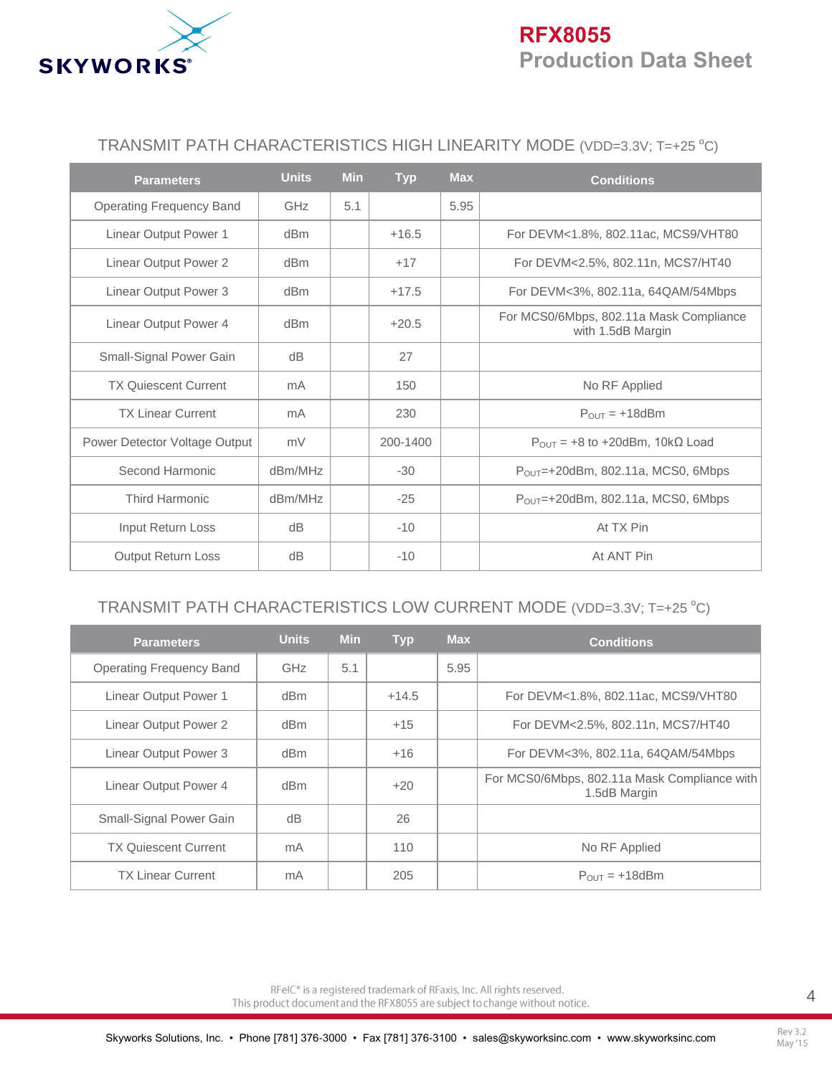

## **RFX8055 Production Data Sheet**

### TRANSMIT PATH CHARACTERISTICS HIGH LINEARITY MODE (VDD=3.3V; T=+25 °C)

| <b>Parameters</b>               | <b>Units</b>    | <b>Min</b> | <b>Typ</b> | <b>Max</b> | <b>Conditions</b>                                            |
|---------------------------------|-----------------|------------|------------|------------|--------------------------------------------------------------|
| <b>Operating Frequency Band</b> | GHz             | 5.1        |            | 5.95       |                                                              |
| Linear Output Power 1           | dBm             |            | $+16.5$    |            | For DEVM<1.8%, 802.11ac, MCS9/VHT80                          |
| Linear Output Power 2           | d <sub>Bm</sub> |            | $+17$      |            | For DEVM<2.5%, 802.11n, MCS7/HT40                            |
| Linear Output Power 3           | dBm             |            | $+17.5$    |            | For DEVM<3%, 802.11a, 64QAM/54Mbps                           |
| Linear Output Power 4           | dBm             |            | $+20.5$    |            | For MCS0/6Mbps, 802.11a Mask Compliance<br>with 1.5dB Margin |
| Small-Signal Power Gain         | dB              |            | 27         |            |                                                              |
| <b>TX Quiescent Current</b>     | mA              |            | 150        |            | No RF Applied                                                |
| <b>TX Linear Current</b>        | mA              |            | 230        |            | $P_{\text{OUT}} = +18$ dBm                                   |
| Power Detector Voltage Output   | mV              |            | 200-1400   |            | $P_{\text{OUT}} = +8$ to +20dBm, 10k $\Omega$ Load           |
| Second Harmonic                 | dBm/MHz         |            | $-30$      |            | $P_{OUT}$ =+20dBm, 802.11a, MCS0, 6Mbps                      |
| <b>Third Harmonic</b>           | dBm/MHz         |            | $-25$      |            | $P_{OUT}$ =+20dBm, 802.11a, MCS0, 6Mbps                      |
| Input Return Loss               | dB              |            | $-10$      |            | At TX Pin                                                    |
| <b>Output Return Loss</b>       | dB              |            | $-10$      |            | At ANT Pin                                                   |

### TRANSMIT PATH CHARACTERISTICS LOW CURRENT MODE (VDD=3.3V; T=+25 °C)

| <b>Parameters</b>           | <b>Units</b> | <b>Min</b> | <b>Typ</b> | <b>Max</b> | <b>Conditions</b>                                            |
|-----------------------------|--------------|------------|------------|------------|--------------------------------------------------------------|
| Operating Frequency Band    | <b>GHz</b>   | 5.1        |            | 5.95       |                                                              |
| Linear Output Power 1       | dBm          |            | $+14.5$    |            | For DEVM<1.8%, 802.11ac, MCS9/VHT80                          |
| Linear Output Power 2       | dBm          |            | $+15$      |            | For DEVM<2.5%, 802.11n, MCS7/HT40                            |
| Linear Output Power 3       | dBm          |            | $+16$      |            | For DEVM<3%, 802.11a, 64QAM/54Mbps                           |
| Linear Output Power 4       | dBm          |            | $+20$      |            | For MCS0/6Mbps, 802.11a Mask Compliance with<br>1.5dB Margin |
| Small-Signal Power Gain     | dB           |            | 26         |            |                                                              |
| <b>TX Quiescent Current</b> | mA           |            | 110        |            | No RF Applied                                                |
| <b>TX Linear Current</b>    | mA           |            | 205        |            | $P_{OUT}$ = +18dBm                                           |

RFeIC<sup>®</sup> is a registered trademark of RFaxis, Inc. All rights reserved. This product document and the RFX8055 are subject to change without notice.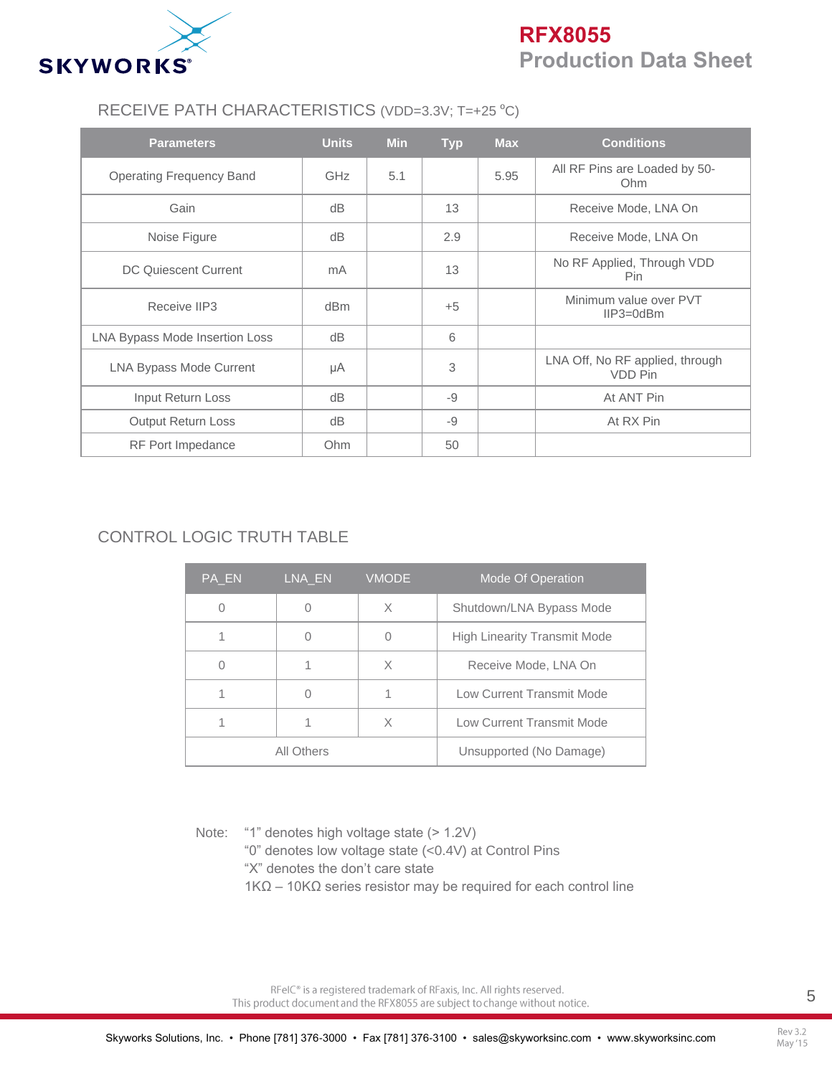

# **RFX8055 Production Data Sheet**

### RECEIVE PATH CHARACTERISTICS (VDD=3.3V; T=+25 °C)

| <b>Parameters</b>              | <b>Units</b>    | <b>Min</b> | <b>Typ</b> | <b>Max</b> | <b>Conditions</b>                          |
|--------------------------------|-----------------|------------|------------|------------|--------------------------------------------|
| Operating Frequency Band       | <b>GHz</b>      | 5.1        |            | 5.95       | All RF Pins are Loaded by 50-<br>Ohm       |
| Gain                           | dB              |            | 13         |            | Receive Mode, LNA On                       |
| Noise Figure                   | dB              |            | 2.9        |            | Receive Mode, LNA On                       |
| DC Quiescent Current           | mA              |            | 13         |            | No RF Applied, Through VDD<br>Pin.         |
| Receive IIP3                   | d <sub>Bm</sub> |            | $+5$       |            | Minimum value over PVT<br>$IIP3 = 0dBm$    |
| LNA Bypass Mode Insertion Loss | dB              |            | 6          |            |                                            |
| <b>LNA Bypass Mode Current</b> | μA              |            | 3          |            | LNA Off, No RF applied, through<br>VDD Pin |
| Input Return Loss              | dB              |            | $-9$       |            | At ANT Pin                                 |
| <b>Output Return Loss</b>      | dB              |            | $-9$       |            | At RX Pin                                  |
| RF Port Impedance              | Ohm             |            | 50         |            |                                            |

## CONTROL LOGIC TRUTH TABLE

| PA EN | LNA_EN     | <b>VMODE</b> | Mode Of Operation                   |
|-------|------------|--------------|-------------------------------------|
|       |            | X            | Shutdown/LNA Bypass Mode            |
|       |            |              | <b>High Linearity Transmit Mode</b> |
|       |            | X            | Receive Mode, LNA On                |
|       |            |              | Low Current Transmit Mode           |
|       |            | X            | Low Current Transmit Mode           |
|       | All Others |              | Unsupported (No Damage)             |

Note: "1" denotes high voltage state (> 1.2V)

"0" denotes low voltage state (<0.4V) at Control Pins

- "X" denotes the don't care state
- $1KΩ 10KΩ$  series resistor may be required for each control line

RFeIC<sup>®</sup> is a registered trademark of RFaxis, Inc. All rights reserved. This product document and the RFX8055 are subject to change without notice.

Rev 3.2 May '15